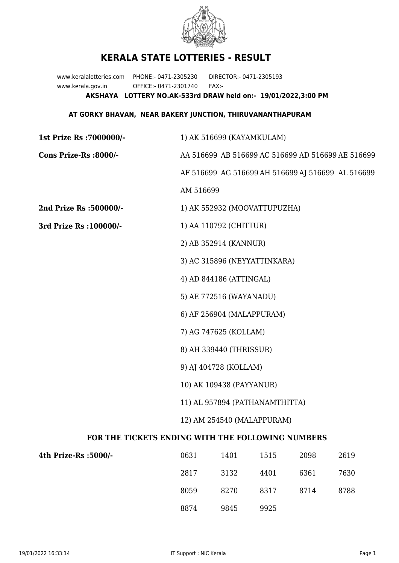

## **KERALA STATE LOTTERIES - RESULT**

www.keralalotteries.com PHONE:- 0471-2305230 DIRECTOR:- 0471-2305193 www.kerala.gov.in OFFICE:- 0471-2301740 FAX:- **AKSHAYA LOTTERY NO.AK-533rd DRAW held on:- 19/01/2022,3:00 PM**

## **AT GORKY BHAVAN, NEAR BAKERY JUNCTION, THIRUVANANTHAPURAM**

| 1st Prize Rs : 7000000/-                          | 1) AK 516699 (KAYAMKULAM)                         |                              |      |      |                                                   |  |
|---------------------------------------------------|---------------------------------------------------|------------------------------|------|------|---------------------------------------------------|--|
| Cons Prize-Rs :8000/-                             | AA 516699 AB 516699 AC 516699 AD 516699 AE 516699 |                              |      |      |                                                   |  |
|                                                   |                                                   |                              |      |      | AF 516699 AG 516699 AH 516699 AJ 516699 AL 516699 |  |
|                                                   | AM 516699                                         |                              |      |      |                                                   |  |
| 2nd Prize Rs :500000/-                            |                                                   | 1) AK 552932 (MOOVATTUPUZHA) |      |      |                                                   |  |
| 3rd Prize Rs : 100000/-                           | 1) AA 110792 (CHITTUR)                            |                              |      |      |                                                   |  |
|                                                   |                                                   | 2) AB 352914 (KANNUR)        |      |      |                                                   |  |
|                                                   |                                                   | 3) AC 315896 (NEYYATTINKARA) |      |      |                                                   |  |
|                                                   |                                                   | 4) AD 844186 (ATTINGAL)      |      |      |                                                   |  |
|                                                   |                                                   | 5) AE 772516 (WAYANADU)      |      |      |                                                   |  |
|                                                   |                                                   | 6) AF 256904 (MALAPPURAM)    |      |      |                                                   |  |
|                                                   |                                                   | 7) AG 747625 (KOLLAM)        |      |      |                                                   |  |
|                                                   | 8) AH 339440 (THRISSUR)                           |                              |      |      |                                                   |  |
|                                                   | 9) AJ 404728 (KOLLAM)                             |                              |      |      |                                                   |  |
|                                                   | 10) AK 109438 (PAYYANUR)                          |                              |      |      |                                                   |  |
|                                                   | 11) AL 957894 (PATHANAMTHITTA)                    |                              |      |      |                                                   |  |
|                                                   | 12) AM 254540 (MALAPPURAM)                        |                              |      |      |                                                   |  |
| FOR THE TICKETS ENDING WITH THE FOLLOWING NUMBERS |                                                   |                              |      |      |                                                   |  |
| 4th Prize-Rs :5000/-                              | 0631                                              | 1401                         | 1515 | 2098 | 2619                                              |  |

| vvvi. | 11 J J J | 1010 | -2000 | 2010 |
|-------|----------|------|-------|------|
| 2817  | 3132     | 4401 | 6361  | 7630 |
| 8059  | 8270     | 8317 | 8714  | 8788 |
| 8874  | 9845     | 9925 |       |      |
|       |          |      |       |      |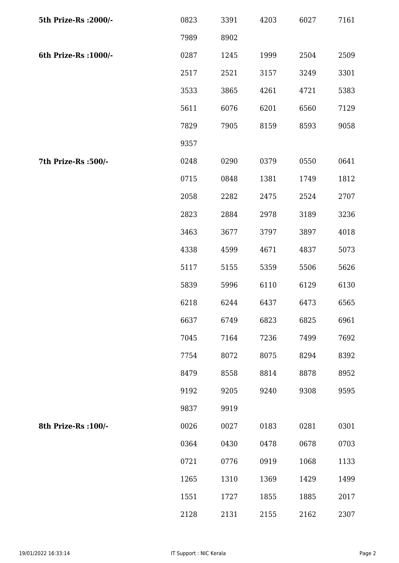| 5th Prize-Rs : 2000/- | 0823 | 3391 | 4203 | 6027 | 7161 |
|-----------------------|------|------|------|------|------|
|                       | 7989 | 8902 |      |      |      |
| 6th Prize-Rs : 1000/- | 0287 | 1245 | 1999 | 2504 | 2509 |
|                       | 2517 | 2521 | 3157 | 3249 | 3301 |
|                       | 3533 | 3865 | 4261 | 4721 | 5383 |
|                       | 5611 | 6076 | 6201 | 6560 | 7129 |
|                       | 7829 | 7905 | 8159 | 8593 | 9058 |
|                       | 9357 |      |      |      |      |
| 7th Prize-Rs :500/-   | 0248 | 0290 | 0379 | 0550 | 0641 |
|                       | 0715 | 0848 | 1381 | 1749 | 1812 |
|                       | 2058 | 2282 | 2475 | 2524 | 2707 |
|                       | 2823 | 2884 | 2978 | 3189 | 3236 |
|                       | 3463 | 3677 | 3797 | 3897 | 4018 |
|                       | 4338 | 4599 | 4671 | 4837 | 5073 |
|                       | 5117 | 5155 | 5359 | 5506 | 5626 |
|                       | 5839 | 5996 | 6110 | 6129 | 6130 |
|                       | 6218 | 6244 | 6437 | 6473 | 6565 |
|                       | 6637 | 6749 | 6823 | 6825 | 6961 |
|                       | 7045 | 7164 | 7236 | 7499 | 7692 |
|                       | 7754 | 8072 | 8075 | 8294 | 8392 |
|                       | 8479 | 8558 | 8814 | 8878 | 8952 |
|                       | 9192 | 9205 | 9240 | 9308 | 9595 |
|                       | 9837 | 9919 |      |      |      |
| 8th Prize-Rs : 100/-  | 0026 | 0027 | 0183 | 0281 | 0301 |
|                       | 0364 | 0430 | 0478 | 0678 | 0703 |
|                       | 0721 | 0776 | 0919 | 1068 | 1133 |
|                       | 1265 | 1310 | 1369 | 1429 | 1499 |
|                       | 1551 | 1727 | 1855 | 1885 | 2017 |
|                       | 2128 | 2131 | 2155 | 2162 | 2307 |